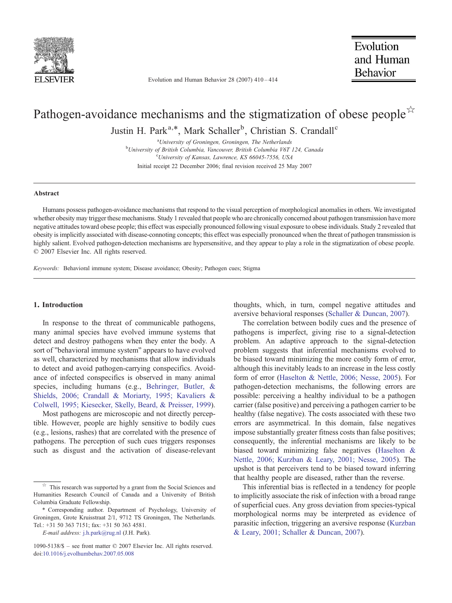

Evolution and Human Behavior 28 (2007) 410–414

# Pathogen-avoidance mechanisms and the stigmatization of obese people  $\chi$ Justin H. Park<sup>a,\*</sup>, Mark Schaller<sup>b</sup>, Christian S. Crandall<sup>c</sup>

<sup>a</sup>University of Groningen, Groningen, The Netherlands<br><sup>b</sup>University of British Columbia, Vancouver, British Columbia, V6T <sup>b</sup>University of British Columbia, Vancouver, British Columbia V6T 124, Canada University of Kansas, Lawrence, KS 66045-7556, USA Initial receipt 22 December 2006; final revision received 25 May 2007

### Abstract

Humans possess pathogen-avoidance mechanisms that respond to the visual perception of morphological anomalies in others. We investigated whether obesity may trigger these mechanisms. Study 1 revealed that people who are chronically concerned about pathogen transmission have more negative attitudes toward obese people; this effect was especially pronounced following visual exposure to obese individuals. Study 2 revealed that obesity is implicitly associated with disease-connoting concepts; this effect was especially pronounced when the threat of pathogen transmission is highly salient. Evolved pathogen-detection mechanisms are hypersensitive, and they appear to play a role in the stigmatization of obese people. © 2007 Elsevier Inc. All rights reserved.

Keywords: Behavioral immune system; Disease avoidance; Obesity; Pathogen cues; Stigma

## 1. Introduction

In response to the threat of communicable pathogens, many animal species have evolved immune systems that detect and destroy pathogens when they enter the body. A sort of "behavioral immune system" appears to have evolved as well, characterized by mechanisms that allow individuals to detect and avoid pathogen-carrying conspecifics. Avoidance of infected conspecifics is observed in many animal species, including humans (e.g., [Behringer, Butler, &](#page-4-0) [Shields, 2006; Crandall & Moriarty, 1995; Kavaliers &](#page-4-0) [Colwell, 1995; Kiesecker, Skelly, Beard, & Preisser, 1999](#page-4-0)).

Most pathogens are microscopic and not directly perceptible. However, people are highly sensitive to bodily cues (e.g., lesions, rashes) that are correlated with the presence of pathogens. The perception of such cues triggers responses such as disgust and the activation of disease-relevant

thoughts, which, in turn, compel negative attitudes and aversive behavioral responses [\(Schaller & Duncan, 2007\)](#page-4-0).

The correlation between bodily cues and the presence of pathogens is imperfect, giving rise to a signal-detection problem. An adaptive approach to the signal-detection problem suggests that inferential mechanisms evolved to be biased toward minimizing the more costly form of error, although this inevitably leads to an increase in the less costly form of error [\(Haselton & Nettle, 2006; Nesse, 2005](#page-4-0)). For pathogen-detection mechanisms, the following errors are possible: perceiving a healthy individual to be a pathogen carrier (false positive) and perceiving a pathogen carrier to be healthy (false negative). The costs associated with these two errors are asymmetrical. In this domain, false negatives impose substantially greater fitness costs than false positives; consequently, the inferential mechanisms are likely to be biased toward minimizing false negatives ([Haselton &](#page-4-0) [Nettle, 2006; Kurzban & Leary, 2001; Nesse, 2005\)](#page-4-0). The upshot is that perceivers tend to be biased toward inferring that healthy people are diseased, rather than the reverse.

This inferential bias is reflected in a tendency for people to implicitly associate the risk of infection with a broad range of superficial cues. Any gross deviation from species-typical morphological norms may be interpreted as evidence of parasitic infection, triggering an aversive response [\(Kurzban](#page-4-0) [& Leary, 2001; Schaller & Duncan, 2007](#page-4-0)).

This research was supported by a grant from the Social Sciences and Humanities Research Council of Canada and a University of British Columbia Graduate Fellowship.

<sup>⁎</sup> Corresponding author. Department of Psychology, University of Groningen, Grote Kruisstraat 2/1, 9712 TS Groningen, The Netherlands. Tel.: +31 50 363 7151; fax: +31 50 363 4581.

E-mail address: [j.h.park@rug.nl](mailto:j.h.park@rug.nl) (J.H. Park).

<sup>1090-5138/\$</sup> – see front matter © 2007 Elsevier Inc. All rights reserved. doi[:10.1016/j.evolhumbehav.2007.05.008](http://dx.doi.org/10.1016/j.evolhumbehav.2007.05.008)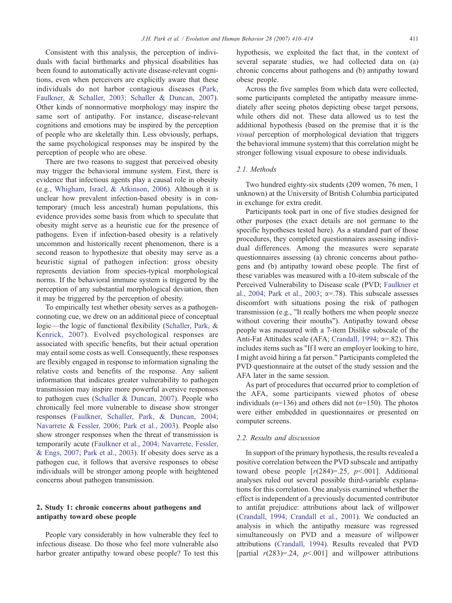Consistent with this analysis, the perception of individuals with facial birthmarks and physical disabilities has been found to automatically activate disease-relevant cognitions, even when perceivers are explicitly aware that these individuals do not harbor contagious diseases ([Park,](#page-4-0) [Faulkner, & Schaller, 2003; Schaller & Duncan, 2007](#page-4-0)). Other kinds of nonnormative morphology may inspire the same sort of antipathy. For instance, disease-relevant cognitions and emotions may be inspired by the perception of people who are skeletally thin. Less obviously, perhaps, the same psychological responses may be inspired by the perception of people who are obese.

There are two reasons to suggest that perceived obesity may trigger the behavioral immune system. First, there is evidence that infectious agents play a causal role in obesity (e.g., [Whigham, Israel, & Atkinson, 2006\)](#page-4-0). Although it is unclear how prevalent infection-based obesity is in contemporary (much less ancestral) human populations, this evidence provides some basis from which to speculate that obesity might serve as a heuristic cue for the presence of pathogens. Even if infection-based obesity is a relatively uncommon and historically recent phenomenon, there is a second reason to hypothesize that obesity may serve as a heuristic signal of pathogen infection: gross obesity represents deviation from species-typical morphological norms. If the behavioral immune system is triggered by the perception of any substantial morphological deviation, then it may be triggered by the perception of obesity.

To empirically test whether obesity serves as a pathogenconnoting cue, we drew on an additional piece of conceptual logic—the logic of functional flexibility [\(Schaller, Park, &](#page-4-0) [Kenrick, 2007\)](#page-4-0). Evolved psychological responses are associated with specific benefits, but their actual operation may entail some costs as well. Consequently, these responses are flexibly engaged in response to information signaling the relative costs and benefits of the response. Any salient information that indicates greater vulnerability to pathogen transmission may inspire more powerful aversive responses to pathogen cues [\(Schaller & Duncan, 2007](#page-4-0)). People who chronically feel more vulnerable to disease show stronger responses ([Faulkner, Schaller, Park, & Duncan, 2004;](#page-4-0) [Navarrete & Fessler, 2006; Park et al., 2003\)](#page-4-0). People also show stronger responses when the threat of transmission is temporarily acute ([Faulkner et al., 2004; Navarrete, Fessler,](#page-4-0) [& Engs, 2007; Park et al., 2003](#page-4-0)). If obesity does serve as a pathogen cue, it follows that aversive responses to obese individuals will be stronger among people with heightened concerns about pathogen transmission.

# 2. Study 1: chronic concerns about pathogens and antipathy toward obese people

People vary considerably in how vulnerable they feel to infectious disease. Do those who feel more vulnerable also harbor greater antipathy toward obese people? To test this hypothesis, we exploited the fact that, in the context of several separate studies, we had collected data on (a) chronic concerns about pathogens and (b) antipathy toward obese people.

Across the five samples from which data were collected, some participants completed the antipathy measure immediately after seeing photos depicting obese target persons, while others did not. These data allowed us to test the additional hypothesis (based on the premise that it is the visual perception of morphological deviation that triggers the behavioral immune system) that this correlation might be stronger following visual exposure to obese individuals.

# 2.1. Methods

Two hundred eighty-six students (209 women, 76 men, 1 unknown) at the University of British Columbia participated in exchange for extra credit.

Participants took part in one of five studies designed for other purposes (the exact details are not germane to the specific hypotheses tested here). As a standard part of those procedures, they completed questionnaires assessing individual differences. Among the measures were separate questionnaires assessing (a) chronic concerns about pathogens and (b) antipathy toward obese people. The first of these variables was measured with a 10-item subscale of the Perceived Vulnerability to Disease scale (PVD; [Faulkner et](#page-4-0) [al., 2004; Park et al., 2003](#page-4-0);  $\alpha = .78$ ). This subscale assesses discomfort with situations posing the risk of pathogen transmission (e.g., "It really bothers me when people sneeze without covering their mouths"). Antipathy toward obese people was measured with a 7-item Dislike subscale of the Anti-Fat Attitudes scale (AFA; [Crandall, 1994;](#page-4-0)  $\alpha$ =.82). This includes items such as "If I were an employer looking to hire, I might avoid hiring a fat person." Participants completed the PVD questionnaire at the outset of the study session and the AFA later in the same session.

As part of procedures that occurred prior to completion of the AFA, some participants viewed photos of obese individuals  $(n=136)$  and others did not  $(n=150)$ . The photos were either embedded in questionnaires or presented on computer screens.

## 2.2. Results and discussion

In support of the primary hypothesis, the results revealed a positive correlation between the PVD subscale and antipathy toward obese people  $[r(284)=.25, p<.001]$ . Additional analyses ruled out several possible third-variable explanations for this correlation. One analysis examined whether the effect is independent of a previously documented contributor to antifat prejudice: attributions about lack of willpower [\(Crandall, 1994; Crandall et al., 2001](#page-4-0)). We conducted an analysis in which the antipathy measure was regressed simultaneously on PVD and a measure of willpower attributions [\(Crandall, 1994\)](#page-4-0). Results revealed that PVD [partial  $r(283)=.24$ ,  $p<.001$ ] and willpower attributions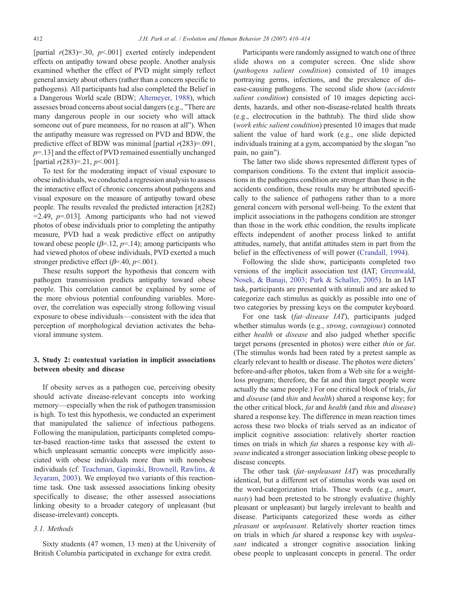[partial  $r(283)=30$ ,  $p<001$ ] exerted entirely independent effects on antipathy toward obese people. Another analysis examined whether the effect of PVD might simply reflect general anxiety about others (rather than a concern specific to pathogens). All participants had also completed the Belief in a Dangerous World scale (BDW; [Altemeyer, 1988\)](#page-4-0), which assesses broad concerns about social dangers (e.g., "There are many dangerous people in our society who will attack someone out of pure meanness, for no reason at all"). When the antipathy measure was regressed on PVD and BDW, the predictive effect of BDW was minimal [partial  $r(283)=0.091$ ,  $p=13$ ] and the effect of PVD remained essentially unchanged [partial  $r(283)=0.21, p<0.01$ ].

To test for the moderating impact of visual exposure to obese individuals, we conducted a regression analysis to assess the interactive effect of chronic concerns about pathogens and visual exposure on the measure of antipathy toward obese people. The results revealed the predicted interaction  $\lceil t(282) \rceil$  $=$  2.49,  $p$ =.013]. Among participants who had not viewed photos of obese individuals prior to completing the antipathy measure, PVD had a weak predictive effect on antipathy toward obese people ( $\beta$ =.12,  $p$ =.14); among participants who had viewed photos of obese individuals, PVD exerted a much stronger predictive effect ( $\beta$ =.40,  $p$ <.001).

These results support the hypothesis that concern with pathogen transmission predicts antipathy toward obese people. This correlation cannot be explained by some of the more obvious potential confounding variables. Moreover, the correlation was especially strong following visual exposure to obese individuals—consistent with the idea that perception of morphological deviation activates the behavioral immune system.

# 3. Study 2: contextual variation in implicit associations between obesity and disease

If obesity serves as a pathogen cue, perceiving obesity should activate disease-relevant concepts into working memory—especially when the risk of pathogen transmission is high. To test this hypothesis, we conducted an experiment that manipulated the salience of infectious pathogens. Following the manipulation, participants completed computer-based reaction-time tasks that assessed the extent to which unpleasant semantic concepts were implicitly associated with obese individuals more than with nonobese individuals (cf. [Teachman, Gapinski, Brownell, Rawlins, &](#page-4-0) [Jeyaram, 2003](#page-4-0)). We employed two variants of this reactiontime task. One task assessed associations linking obesity specifically to disease; the other assessed associations linking obesity to a broader category of unpleasant (but disease-irrelevant) concepts.

# 3.1. Methods

Sixty students (47 women, 13 men) at the University of British Columbia participated in exchange for extra credit.

Participants were randomly assigned to watch one of three slide shows on a computer screen. One slide show (pathogens salient condition) consisted of 10 images portraying germs, infections, and the prevalence of disease-causing pathogens. The second slide show (accidents salient condition) consisted of 10 images depicting accidents, hazards, and other non-disease-related health threats (e.g., electrocution in the bathtub). The third slide show (work ethic salient condition) presented 10 images that made salient the value of hard work (e.g., one slide depicted individuals training at a gym, accompanied by the slogan "no pain, no gain").

The latter two slide shows represented different types of comparison conditions. To the extent that implicit associations in the pathogens condition are stronger than those in the accidents condition, these results may be attributed specifically to the salience of pathogens rather than to a more general concern with personal well-being. To the extent that implicit associations in the pathogens condition are stronger than those in the work ethic condition, the results implicate effects independent of another process linked to antifat attitudes, namely, that antifat attitudes stem in part from the belief in the effectiveness of will power ([Crandall, 1994](#page-4-0)).

Following the slide show, participants completed two versions of the implicit association test (IAT; [Greenwald,](#page-4-0) [Nosek, & Banaji, 2003; Park & Schaller, 2005](#page-4-0)). In an IAT task, participants are presented with stimuli and are asked to categorize each stimulus as quickly as possible into one of two categories by pressing keys on the computer keyboard.

For one task (fat-disease IAT), participants judged whether stimulus words (e.g., strong, contagious) connoted either health or disease and also judged whether specific target persons (presented in photos) were either thin or fat. (The stimulus words had been rated by a pretest sample as clearly relevant to health or disease. The photos were dieters' before-and-after photos, taken from a Web site for a weightloss program; therefore, the fat and thin target people were actually the same people.) For one critical block of trials, fat and disease (and thin and health) shared a response key; for the other critical block, fat and health (and thin and disease) shared a response key. The difference in mean reaction times across these two blocks of trials served as an indicator of implicit cognitive association: relatively shorter reaction times on trials in which *fat* shares a response key with *di*sease indicated a stronger association linking obese people to disease concepts.

The other task (fat–unpleasant IAT) was procedurally identical, but a different set of stimulus words was used on the word-categorization trials. These words (e.g., smart, nasty) had been pretested to be strongly evaluative (highly pleasant or unpleasant) but largely irrelevant to health and disease. Participants categorized these words as either pleasant or unpleasant. Relatively shorter reaction times on trials in which *fat* shared a response key with *unplea*sant indicated a stronger cognitive association linking obese people to unpleasant concepts in general. The order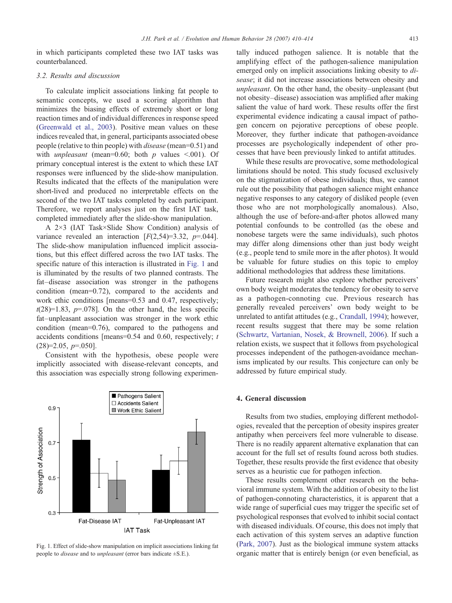in which participants completed these two IAT tasks was counterbalanced.

# 3.2. Results and discussion

To calculate implicit associations linking fat people to semantic concepts, we used a scoring algorithm that minimizes the biasing effects of extremely short or long reaction times and of individual differences in response speed [\(Greenwald et al., 2003](#page-4-0)). Positive mean values on these indices revealed that, in general, participants associated obese people (relative to thin people) with disease (mean=0.51) and with *unpleasant* (mean=0.60; both  $p$  values <.001). Of primary conceptual interest is the extent to which these IAT responses were influenced by the slide-show manipulation. Results indicated that the effects of the manipulation were short-lived and produced no interpretable effects on the second of the two IAT tasks completed by each participant. Therefore, we report analyses just on the first IAT task, completed immediately after the slide-show manipulation.

A 2×3 (IAT Task×Slide Show Condition) analysis of variance revealed an interaction  $[F(2,54)=3.32, p=.044]$ . The slide-show manipulation influenced implicit associations, but this effect differed across the two IAT tasks. The specific nature of this interaction is illustrated in Fig. 1 and is illuminated by the results of two planned contrasts. The fat–disease association was stronger in the pathogens condition (mean=0.72), compared to the accidents and work ethic conditions [means=0.53 and 0.47, respectively;  $t(28)=1.83$ ,  $p=.078$ ]. On the other hand, the less specific fat–unpleasant association was stronger in the work ethic condition (mean=0.76), compared to the pathogens and accidents conditions [means=0.54 and 0.60, respectively;  $t$  $(28)=2.05, p=.050$ ].

Consistent with the hypothesis, obese people were implicitly associated with disease-relevant concepts, and this association was especially strong following experimen-



Fig. 1. Effect of slide-show manipulation on implicit associations linking fat people to *disease* and to *unpleasant* (error bars indicate  $\pm$ S.E.).

tally induced pathogen salience. It is notable that the amplifying effect of the pathogen-salience manipulation emerged only on implicit associations linking obesity to *di*sease; it did not increase associations between obesity and unpleasant. On the other hand, the obesity–unpleasant (but not obesity–disease) association was amplified after making salient the value of hard work. These results offer the first experimental evidence indicating a causal impact of pathogen concern on pejorative perceptions of obese people. Moreover, they further indicate that pathogen-avoidance processes are psychologically independent of other processes that have been previously linked to antifat attitudes.

While these results are provocative, some methodological limitations should be noted. This study focused exclusively on the stigmatization of obese individuals; thus, we cannot rule out the possibility that pathogen salience might enhance negative responses to any category of disliked people (even those who are not morphologically anomalous). Also, although the use of before-and-after photos allowed many potential confounds to be controlled (as the obese and nonobese targets were the same individuals), such photos may differ along dimensions other than just body weight (e.g., people tend to smile more in the after photos). It would be valuable for future studies on this topic to employ additional methodologies that address these limitations.

Future research might also explore whether perceivers' own body weight moderates the tendency for obesity to serve as a pathogen-connoting cue. Previous research has generally revealed perceivers' own body weight to be unrelated to antifat attitudes (e.g., [Crandall, 1994](#page-4-0)); however, recent results suggest that there may be some relation [\(Schwartz, Vartanian, Nosek, & Brownell, 2006](#page-4-0)). If such a relation exists, we suspect that it follows from psychological processes independent of the pathogen-avoidance mechanisms implicated by our results. This conjecture can only be addressed by future empirical study.

## 4. General discussion

Results from two studies, employing different methodologies, revealed that the perception of obesity inspires greater antipathy when perceivers feel more vulnerable to disease. There is no readily apparent alternative explanation that can account for the full set of results found across both studies. Together, these results provide the first evidence that obesity serves as a heuristic cue for pathogen infection.

These results complement other research on the behavioral immune system. With the addition of obesity to the list of pathogen-connoting characteristics, it is apparent that a wide range of superficial cues may trigger the specific set of psychological responses that evolved to inhibit social contact with diseased individuals. Of course, this does not imply that each activation of this system serves an adaptive function [\(Park, 2007](#page-4-0)). Just as the biological immune system attacks organic matter that is entirely benign (or even beneficial, as